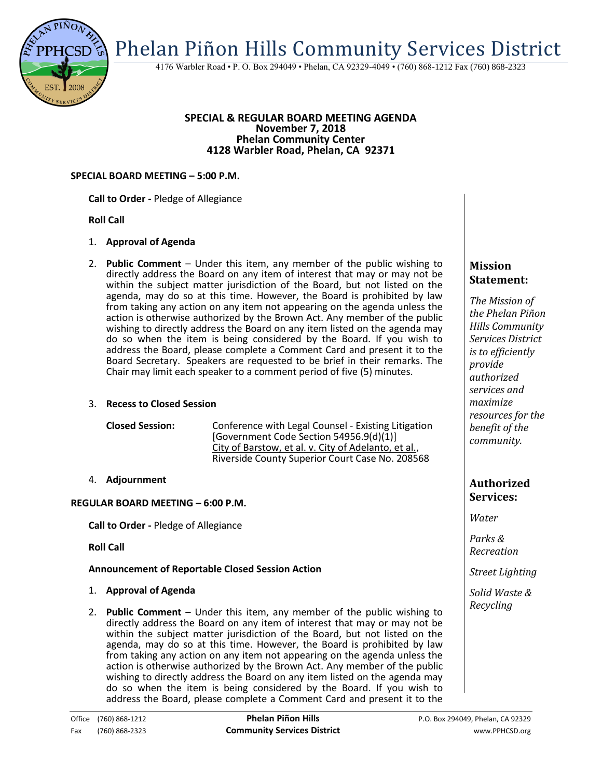

4176 Warbler Road • P. O. Box 294049 • Phelan, CA 92329-4049 • (760) 868-1212 Fax (760) 868-2323

#### **SPECIAL & REGULAR BOARD MEETING AGENDA November 7, 2018 Phelan Community Center 4128 Warbler Road, Phelan, CA 92371**

#### **SPECIAL BOARD MEETING – 5:00 P.M.**

#### **Call to Order -** Pledge of Allegiance

## **Roll Call**

# 1. **Approval of Agenda**

2. **Public Comment** – Under this item, any member of the public wishing to directly address the Board on any item of interest that may or may not be within the subject matter jurisdiction of the Board, but not listed on the agenda, may do so at this time. However, the Board is prohibited by law from taking any action on any item not appearing on the agenda unless the action is otherwise authorized by the Brown Act. Any member of the public wishing to directly address the Board on any item listed on the agenda may do so when the item is being considered by the Board. If you wish to address the Board, please complete a Comment Card and present it to the Board Secretary. Speakers are requested to be brief in their remarks. The Chair may limit each speaker to a comment period of five (5) minutes.

## 3. **Recess to Closed Session**

| <b>Closed Session:</b> | Conference with Legal Counsel - Existing Litigation  |
|------------------------|------------------------------------------------------|
|                        | [Government Code Section 54956.9(d)(1)]              |
|                        | City of Barstow, et al. v. City of Adelanto, et al., |
|                        | Riverside County Superior Court Case No. 208568      |

## 4. **Adjournment**

## **REGULAR BOARD MEETING – 6:00 P.M.**

**Call to Order -** Pledge of Allegiance

**Roll Call**

## **Announcement of Reportable Closed Session Action**

- 1. **Approval of Agenda**
- 2. **Public Comment**  Under this item, any member of the public wishing to directly address the Board on any item of interest that may or may not be within the subject matter jurisdiction of the Board, but not listed on the agenda, may do so at this time. However, the Board is prohibited by law from taking any action on any item not appearing on the agenda unless the action is otherwise authorized by the Brown Act. Any member of the public wishing to directly address the Board on any item listed on the agenda may do so when the item is being considered by the Board. If you wish to address the Board, please complete a Comment Card and present it to the

# **Mission Statement:**

*The Mission of the Phelan Piñon Hills Community Services District is to efficiently provide authorized services and maximize resources for the benefit of the community.*

# **Authorized Services:**

*Water*

*Parks & Recreation*

*Street Lighting*

*Solid Waste & Recycling*